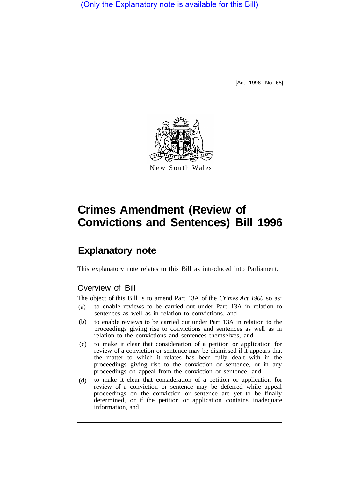(Only the Explanatory note is available for this Bill)

[Act 1996 No 65]



# **Crimes Amendment (Review of Convictions and Sentences) Bill 1996**

## **Explanatory note**

This explanatory note relates to this Bill as introduced into Parliament.

#### Overview of Bill

The object of this Bill is to amend Part 13A of the *Crimes Act 1900* so as:

- to enable reviews to be carried out under Part 13A in relation to sentences as well as in relation to convictions, and (a)
- to enable reviews to be carried out under Part 13A in relation to the proceedings giving rise to convictions and sentences as well as in relation to the convictions and sentences themselves, and (b)
- to make it clear that consideration of a petition or application for review of a conviction or sentence may be dismissed if it appears that the matter to which it relates has been fully dealt with in the proceedings giving rise to the conviction or sentence, or in any proceedings on appeal from the conviction or sentence, and (c)
- to make it clear that consideration of a petition or application for review of a conviction or sentence may be deferred while appeal proceedings on the conviction or sentence are yet to be finally determined, or if the petition or application contains inadequate information, and (d)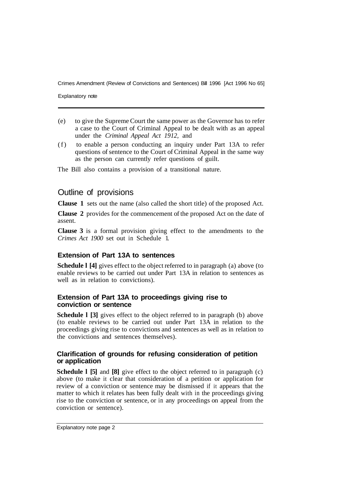Crimes Amendment (Review of Convictions and Sentences) Bill 1996 [Act 1996 No 65]

Explanatory note

- (e) to give the Supreme Court the same power as the Governor has to refer a case to the Court of Criminal Appeal to be dealt with as an appeal under the *Criminal Appeal Act 1912,* and
- (f) to enable a person conducting an inquiry under Part 13A to refer questions of sentence to the Court of Criminal Appeal in the same way as the person can currently refer questions of guilt.

The Bill also contains a provision of a transitional nature.

### Outline of provisions

**Clause 1** sets out the name (also called the short title) of the proposed Act.

**Clause 2** provides for the commencement of the proposed Act on the date of assent.

**Clause 3** is a formal provision giving effect to the amendments to the *Crimes Act 1900* set out in Schedule 1.

#### **Extension of Part 13A to sentences**

**Schedule I** [4] gives effect to the object referred to in paragraph (a) above (to enable reviews to be carried out under Part 13A in relation to sentences as well as in relation to convictions).

#### **Extension of Part 13A to proceedings giving rise to conviction or sentence**

**Schedule 1 [3]** gives effect to the object referred to in paragraph (b) above (to enable reviews to be carried out under Part 13A in relation to the proceedings giving rise to convictions and sentences as well as in relation to the convictions and sentences themselves).

#### **Clarification of grounds for refusing consideration of petition or application**

**Schedule 1 [5] and [8] give effect to the object referred to in paragraph (c)** above (to make it clear that consideration of a petition or application for review of a conviction or sentence may be dismissed if it appears that the matter to which it relates has been fully dealt with in the proceedings giving rise to the conviction or sentence, or in any proceedings on appeal from the conviction or sentence).